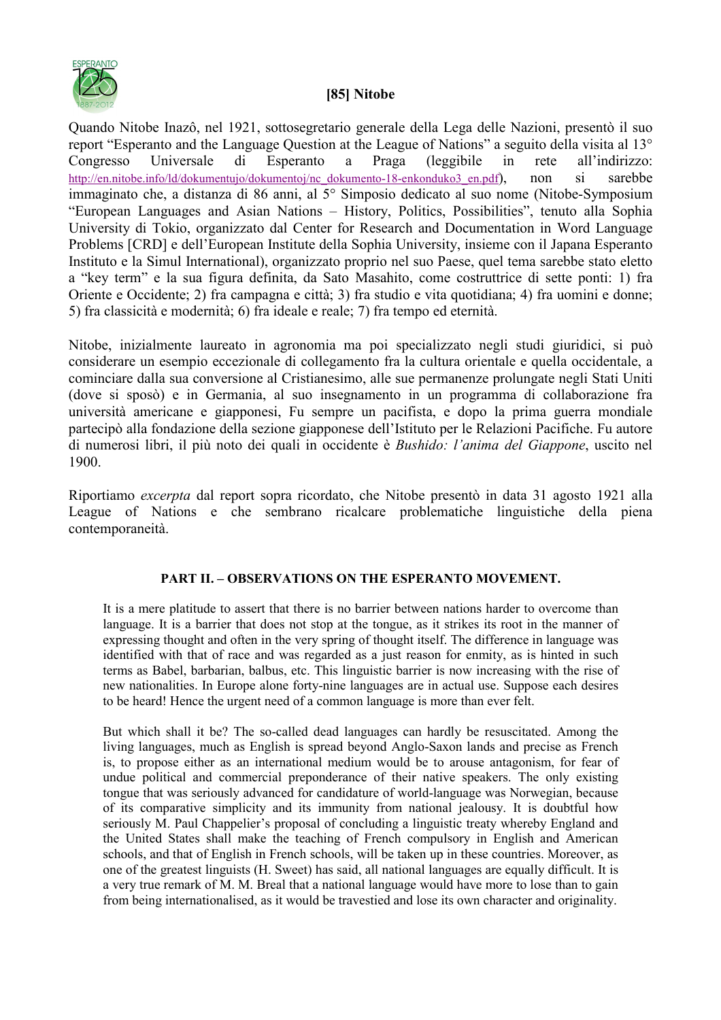

## **[85] itobe**

Quando Nitobe Inazô, nel 1921, sottosegretario generale della Lega delle Nazioni, presentò il suo report "Esperanto and the Language Question at the League of Nations" a seguito della visita al 13° Congresso Universale di Esperanto a Praga (leggibile in rete all'indirizzo: http://en.nitobe.info/ld/dokumentujo/dokumentoj/nc\_dokumento-18-enkonduko3\_en.pdf), non si sarebbe immaginato che, a distanza di 86 anni, al 5° Simposio dedicato al suo nome (Nitobe-Symposium "European Languages and Asian Nations – History, Politics, Possibilities", tenuto alla Sophia University di Tokio, organizzato dal Center for Research and Documentation in Word Language Problems [CRD] e dell'European Institute della Sophia University, insieme con il Japana Esperanto Instituto e la Simul International), organizzato proprio nel suo Paese, quel tema sarebbe stato eletto a "key term" e la sua figura definita, da Sato Masahito, come costruttrice di sette ponti: 1) fra Oriente e Occidente; 2) fra campagna e città; 3) fra studio e vita quotidiana; 4) fra uomini e donne; 5) fra classicità e modernità; 6) fra ideale e reale; 7) fra tempo ed eternità.

Nitobe, inizialmente laureato in agronomia ma poi specializzato negli studi giuridici, si può considerare un esempio eccezionale di collegamento fra la cultura orientale e quella occidentale, a cominciare dalla sua conversione al Cristianesimo, alle sue permanenze prolungate negli Stati Uniti (dove si sposò) e in Germania, al suo insegnamento in un programma di collaborazione fra università americane e giapponesi, Fu sempre un pacifista, e dopo la prima guerra mondiale partecipò alla fondazione della sezione giapponese dell'Istituto per le Relazioni Pacifiche. Fu autore di numerosi libri, il più noto dei quali in occidente è *Bushido: l'anima del Giappone*, uscito nel 1900.

Riportiamo *excerpta* dal report sopra ricordato, che Nitobe presentò in data 31 agosto 1921 alla League of Nations e che sembrano ricalcare problematiche linguistiche della piena contemporaneità.

## **PART II. – OBSERVATIONS ON THE ESPERANTO MOVEMENT.**

It is a mere platitude to assert that there is no barrier between nations harder to overcome than language. It is a barrier that does not stop at the tongue, as it strikes its root in the manner of expressing thought and often in the very spring of thought itself. The difference in language was identified with that of race and was regarded as a just reason for enmity, as is hinted in such terms as Babel, barbarian, balbus, etc. This linguistic barrier is now increasing with the rise of new nationalities. In Europe alone forty-nine languages are in actual use. Suppose each desires to be heard! Hence the urgent need of a common language is more than ever felt.

But which shall it be? The so-called dead languages can hardly be resuscitated. Among the living languages, much as English is spread beyond Anglo-Saxon lands and precise as French is, to propose either as an international medium would be to arouse antagonism, for fear of undue political and commercial preponderance of their native speakers. The only existing tongue that was seriously advanced for candidature of world-language was Norwegian, because of its comparative simplicity and its immunity from national jealousy. It is doubtful how seriously M. Paul Chappelier's proposal of concluding a linguistic treaty whereby England and the United States shall make the teaching of French compulsory in English and American schools, and that of English in French schools, will be taken up in these countries. Moreover, as one of the greatest linguists (H. Sweet) has said, all national languages are equally difficult. It is a very true remark of M. M. Breal that a national language would have more to lose than to gain from being internationalised, as it would be travestied and lose its own character and originality.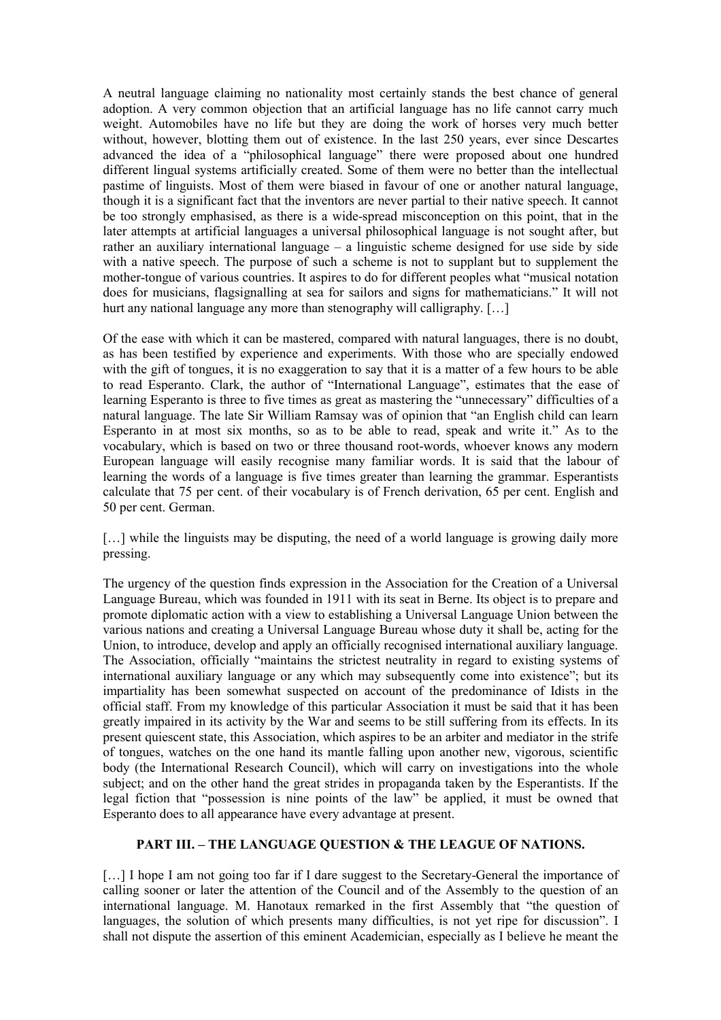A neutral language claiming no nationality most certainly stands the best chance of general adoption. A very common objection that an artificial language has no life cannot carry much weight. Automobiles have no life but they are doing the work of horses very much better without, however, blotting them out of existence. In the last 250 years, ever since Descartes advanced the idea of a "philosophical language" there were proposed about one hundred different lingual systems artificially created. Some of them were no better than the intellectual pastime of linguists. Most of them were biased in favour of one or another natural language, though it is a significant fact that the inventors are never partial to their native speech. It cannot be too strongly emphasised, as there is a wide-spread misconception on this point, that in the later attempts at artificial languages a universal philosophical language is not sought after, but rather an auxiliary international language – a linguistic scheme designed for use side by side with a native speech. The purpose of such a scheme is not to supplant but to supplement the mother-tongue of various countries. It aspires to do for different peoples what "musical notation does for musicians, flagsignalling at sea for sailors and signs for mathematicians." It will not hurt any national language any more than stenography will calligraphy. [...]

Of the ease with which it can be mastered, compared with natural languages, there is no doubt, as has been testified by experience and experiments. With those who are specially endowed with the gift of tongues, it is no exaggeration to say that it is a matter of a few hours to be able to read Esperanto. Clark, the author of "International Language", estimates that the ease of learning Esperanto is three to five times as great as mastering the "unnecessary" difficulties of a natural language. The late Sir William Ramsay was of opinion that "an English child can learn Esperanto in at most six months, so as to be able to read, speak and write it." As to the vocabulary, which is based on two or three thousand root-words, whoever knows any modern European language will easily recognise many familiar words. It is said that the labour of learning the words of a language is five times greater than learning the grammar. Esperantists calculate that 75 per cent. of their vocabulary is of French derivation, 65 per cent. English and 50 per cent. German.

[...] while the linguists may be disputing, the need of a world language is growing daily more pressing.

The urgency of the question finds expression in the Association for the Creation of a Universal Language Bureau, which was founded in 1911 with its seat in Berne. Its object is to prepare and promote diplomatic action with a view to establishing a Universal Language Union between the various nations and creating a Universal Language Bureau whose duty it shall be, acting for the Union, to introduce, develop and apply an officially recognised international auxiliary language. The Association, officially "maintains the strictest neutrality in regard to existing systems of international auxiliary language or any which may subsequently come into existence"; but its impartiality has been somewhat suspected on account of the predominance of Idists in the official staff. From my knowledge of this particular Association it must be said that it has been greatly impaired in its activity by the War and seems to be still suffering from its effects. In its present quiescent state, this Association, which aspires to be an arbiter and mediator in the strife of tongues, watches on the one hand its mantle falling upon another new, vigorous, scientific body (the International Research Council), which will carry on investigations into the whole subject; and on the other hand the great strides in propaganda taken by the Esperantists. If the legal fiction that "possession is nine points of the law" be applied, it must be owned that Esperanto does to all appearance have every advantage at present.

## **PART III. – THE LANGUAGE QUESTION & THE LEAGUE OF NATIONS.**

[...] I hope I am not going too far if I dare suggest to the Secretary-General the importance of calling sooner or later the attention of the Council and of the Assembly to the question of an international language. M. Hanotaux remarked in the first Assembly that "the question of languages, the solution of which presents many difficulties, is not yet ripe for discussion". I shall not dispute the assertion of this eminent Academician, especially as I believe he meant the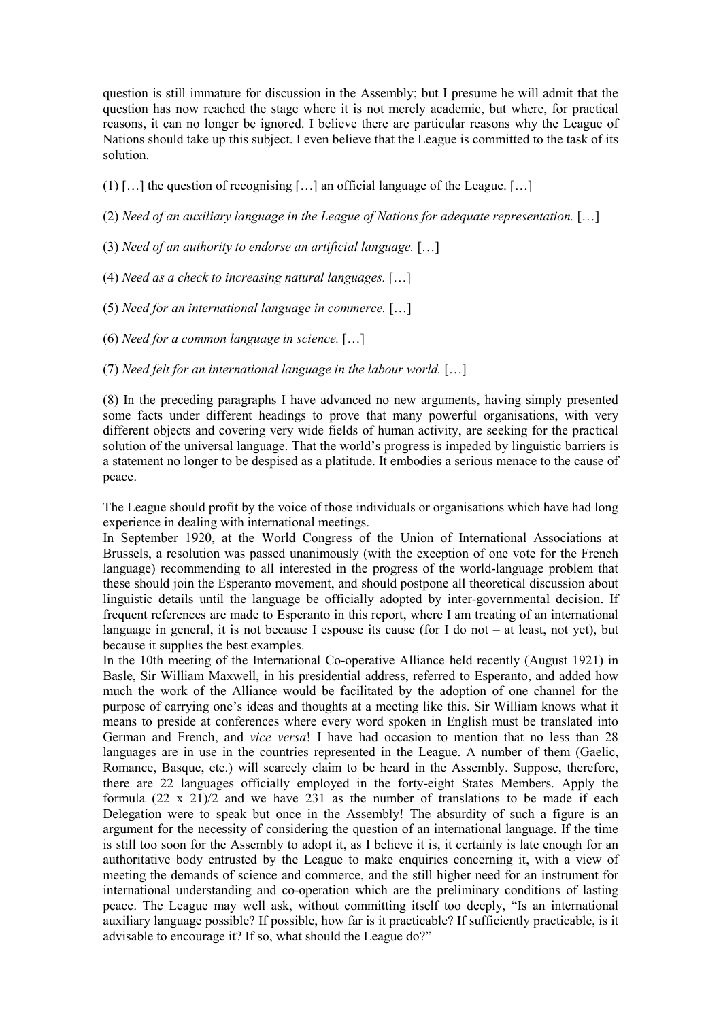question is still immature for discussion in the Assembly; but I presume he will admit that the question has now reached the stage where it is not merely academic, but where, for practical reasons, it can no longer be ignored. I believe there are particular reasons why the League of Nations should take up this subject. I even believe that the League is committed to the task of its solution.

 $(1)$  [...] the question of recognising [...] an official language of the League. [...]

(2) *Need of an auxiliary language in the League of Nations for adequate representation.*  $[\ldots]$ 

- (3) *Need of an authority to endorse an artificial language.* [...]
- (4) *Need as a check to increasing natural languages.* [...]
- (5) *Need for an international language in commerce.* [...]
- (6) *Need for a common language in science.* [...]
- (7) *Need felt for an international language in the labour world.* [...]

(8) In the preceding paragraphs I have advanced no new arguments, having simply presented some facts under different headings to prove that many powerful organisations, with very different objects and covering very wide fields of human activity, are seeking for the practical solution of the universal language. That the world's progress is impeded by linguistic barriers is a statement no longer to be despised as a platitude. It embodies a serious menace to the cause of peace.

The League should profit by the voice of those individuals or organisations which have had long experience in dealing with international meetings.

In September 1920, at the World Congress of the Union of International Associations at Brussels, a resolution was passed unanimously (with the exception of one vote for the French language) recommending to all interested in the progress of the world-language problem that these should join the Esperanto movement, and should postpone all theoretical discussion about linguistic details until the language be officially adopted by inter-governmental decision. If frequent references are made to Esperanto in this report, where I am treating of an international language in general, it is not because I espouse its cause (for I do not – at least, not yet), but because it supplies the best examples.

In the 10th meeting of the International Co-operative Alliance held recently (August 1921) in Basle, Sir William Maxwell, in his presidential address, referred to Esperanto, and added how much the work of the Alliance would be facilitated by the adoption of one channel for the purpose of carrying one's ideas and thoughts at a meeting like this. Sir William knows what it means to preside at conferences where every word spoken in English must be translated into German and French, and *vice versa*! I have had occasion to mention that no less than 28 languages are in use in the countries represented in the League. A number of them (Gaelic, Romance, Basque, etc.) will scarcely claim to be heard in the Assembly. Suppose, therefore, there are 22 languages officially employed in the forty-eight States Members. Apply the formula  $(22 \times 21)/2$  and we have 231 as the number of translations to be made if each Delegation were to speak but once in the Assembly! The absurdity of such a figure is an argument for the necessity of considering the question of an international language. If the time is still too soon for the Assembly to adopt it, as I believe it is, it certainly is late enough for an authoritative body entrusted by the League to make enquiries concerning it, with a view of meeting the demands of science and commerce, and the still higher need for an instrument for international understanding and co-operation which are the preliminary conditions of lasting peace. The League may well ask, without committing itself too deeply, "Is an international auxiliary language possible? If possible, how far is it practicable? If sufficiently practicable, is it advisable to encourage it? If so, what should the League do?"